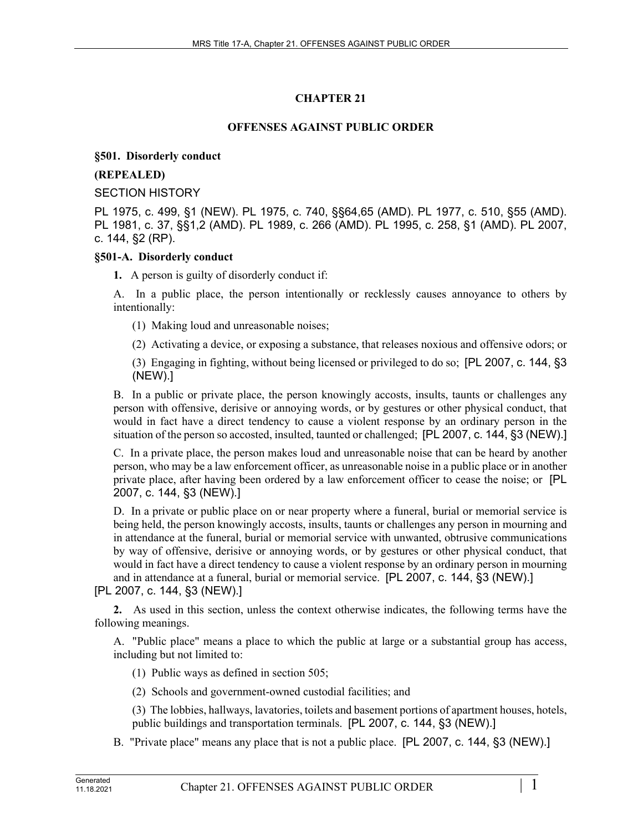## **CHAPTER 21**

### **OFFENSES AGAINST PUBLIC ORDER**

#### **§501. Disorderly conduct**

#### **(REPEALED)**

#### SECTION HISTORY

PL 1975, c. 499, §1 (NEW). PL 1975, c. 740, §§64,65 (AMD). PL 1977, c. 510, §55 (AMD). PL 1981, c. 37, §§1,2 (AMD). PL 1989, c. 266 (AMD). PL 1995, c. 258, §1 (AMD). PL 2007, c. 144, §2 (RP).

#### **§501-A. Disorderly conduct**

**1.** A person is guilty of disorderly conduct if:

A. In a public place, the person intentionally or recklessly causes annoyance to others by intentionally:

- (1) Making loud and unreasonable noises;
- (2) Activating a device, or exposing a substance, that releases noxious and offensive odors; or

(3) Engaging in fighting, without being licensed or privileged to do so; [PL 2007, c. 144, §3 (NEW).]

B. In a public or private place, the person knowingly accosts, insults, taunts or challenges any person with offensive, derisive or annoying words, or by gestures or other physical conduct, that would in fact have a direct tendency to cause a violent response by an ordinary person in the situation of the person so accosted, insulted, taunted or challenged; [PL 2007, c. 144, §3 (NEW).]

C. In a private place, the person makes loud and unreasonable noise that can be heard by another person, who may be a law enforcement officer, as unreasonable noise in a public place or in another private place, after having been ordered by a law enforcement officer to cease the noise; or [PL 2007, c. 144, §3 (NEW).]

D. In a private or public place on or near property where a funeral, burial or memorial service is being held, the person knowingly accosts, insults, taunts or challenges any person in mourning and in attendance at the funeral, burial or memorial service with unwanted, obtrusive communications by way of offensive, derisive or annoying words, or by gestures or other physical conduct, that would in fact have a direct tendency to cause a violent response by an ordinary person in mourning and in attendance at a funeral, burial or memorial service. [PL 2007, c. 144, §3 (NEW).]

## [PL 2007, c. 144, §3 (NEW).]

**2.** As used in this section, unless the context otherwise indicates, the following terms have the following meanings.

A. "Public place" means a place to which the public at large or a substantial group has access, including but not limited to:

- (1) Public ways as defined in section 505;
- (2) Schools and government-owned custodial facilities; and

(3) The lobbies, hallways, lavatories, toilets and basement portions of apartment houses, hotels, public buildings and transportation terminals. [PL 2007, c. 144, §3 (NEW).]

B. "Private place" means any place that is not a public place. [PL 2007, c. 144, §3 (NEW).]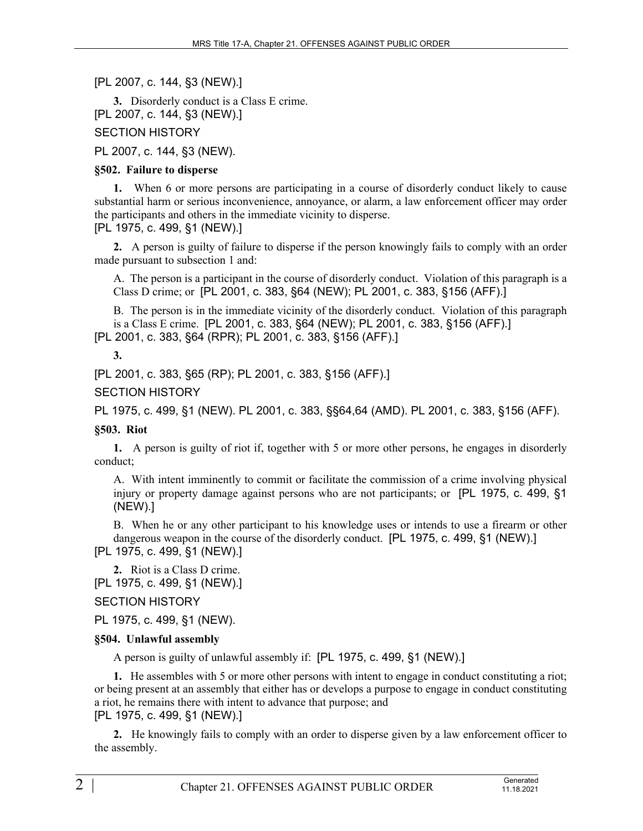[PL 2007, c. 144, §3 (NEW).]

**3.** Disorderly conduct is a Class E crime. [PL 2007, c. 144, §3 (NEW).]

SECTION HISTORY

PL 2007, c. 144, §3 (NEW).

### **§502. Failure to disperse**

**1.** When 6 or more persons are participating in a course of disorderly conduct likely to cause substantial harm or serious inconvenience, annoyance, or alarm, a law enforcement officer may order the participants and others in the immediate vicinity to disperse. [PL 1975, c. 499, §1 (NEW).]

**2.** A person is guilty of failure to disperse if the person knowingly fails to comply with an order made pursuant to subsection 1 and:

A. The person is a participant in the course of disorderly conduct. Violation of this paragraph is a Class D crime; or [PL 2001, c. 383, §64 (NEW); PL 2001, c. 383, §156 (AFF).]

B. The person is in the immediate vicinity of the disorderly conduct. Violation of this paragraph is a Class E crime. [PL 2001, c. 383, §64 (NEW); PL 2001, c. 383, §156 (AFF).]

[PL 2001, c. 383, §64 (RPR); PL 2001, c. 383, §156 (AFF).]

#### **3.**

[PL 2001, c. 383, §65 (RP); PL 2001, c. 383, §156 (AFF).]

SECTION HISTORY

PL 1975, c. 499, §1 (NEW). PL 2001, c. 383, §§64,64 (AMD). PL 2001, c. 383, §156 (AFF).

## **§503. Riot**

**1.** A person is guilty of riot if, together with 5 or more other persons, he engages in disorderly conduct;

A. With intent imminently to commit or facilitate the commission of a crime involving physical injury or property damage against persons who are not participants; or [PL 1975, c. 499, §1 (NEW).]

B. When he or any other participant to his knowledge uses or intends to use a firearm or other dangerous weapon in the course of the disorderly conduct. [PL 1975, c. 499, §1 (NEW).]

[PL 1975, c. 499, §1 (NEW).]

**2.** Riot is a Class D crime. [PL 1975, c. 499, §1 (NEW).]

SECTION HISTORY

PL 1975, c. 499, §1 (NEW).

#### **§504. Unlawful assembly**

A person is guilty of unlawful assembly if: [PL 1975, c. 499, §1 (NEW).]

**1.** He assembles with 5 or more other persons with intent to engage in conduct constituting a riot; or being present at an assembly that either has or develops a purpose to engage in conduct constituting a riot, he remains there with intent to advance that purpose; and [PL 1975, c. 499, §1 (NEW).]

**2.** He knowingly fails to comply with an order to disperse given by a law enforcement officer to the assembly.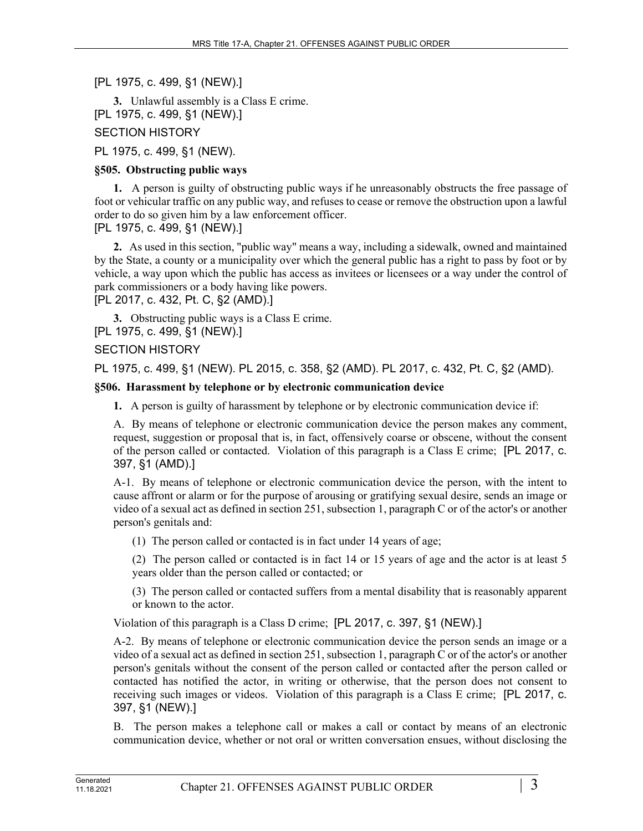[PL 1975, c. 499, §1 (NEW).]

**3.** Unlawful assembly is a Class E crime. [PL 1975, c. 499, §1 (NEW).]

SECTION HISTORY

PL 1975, c. 499, §1 (NEW).

# **§505. Obstructing public ways**

**1.** A person is guilty of obstructing public ways if he unreasonably obstructs the free passage of foot or vehicular traffic on any public way, and refuses to cease or remove the obstruction upon a lawful order to do so given him by a law enforcement officer.

[PL 1975, c. 499, §1 (NEW).]

**2.** As used in this section, "public way" means a way, including a sidewalk, owned and maintained by the State, a county or a municipality over which the general public has a right to pass by foot or by vehicle, a way upon which the public has access as invitees or licensees or a way under the control of park commissioners or a body having like powers.

[PL 2017, c. 432, Pt. C, §2 (AMD).]

**3.** Obstructing public ways is a Class E crime. [PL 1975, c. 499, §1 (NEW).]

SECTION HISTORY

PL 1975, c. 499, §1 (NEW). PL 2015, c. 358, §2 (AMD). PL 2017, c. 432, Pt. C, §2 (AMD).

# **§506. Harassment by telephone or by electronic communication device**

**1.** A person is guilty of harassment by telephone or by electronic communication device if:

A. By means of telephone or electronic communication device the person makes any comment, request, suggestion or proposal that is, in fact, offensively coarse or obscene, without the consent of the person called or contacted. Violation of this paragraph is a Class E crime; [PL 2017, c. 397, §1 (AMD).]

A-1. By means of telephone or electronic communication device the person, with the intent to cause affront or alarm or for the purpose of arousing or gratifying sexual desire, sends an image or video of a sexual act as defined in section 251, subsection 1, paragraph C or of the actor's or another person's genitals and:

(1) The person called or contacted is in fact under 14 years of age;

(2) The person called or contacted is in fact 14 or 15 years of age and the actor is at least 5 years older than the person called or contacted; or

(3) The person called or contacted suffers from a mental disability that is reasonably apparent or known to the actor.

Violation of this paragraph is a Class D crime; [PL 2017, c. 397, §1 (NEW).]

A-2. By means of telephone or electronic communication device the person sends an image or a video of a sexual act as defined in section 251, subsection 1, paragraph C or of the actor's or another person's genitals without the consent of the person called or contacted after the person called or contacted has notified the actor, in writing or otherwise, that the person does not consent to receiving such images or videos. Violation of this paragraph is a Class E crime; [PL 2017, c. 397, §1 (NEW).]

B. The person makes a telephone call or makes a call or contact by means of an electronic communication device, whether or not oral or written conversation ensues, without disclosing the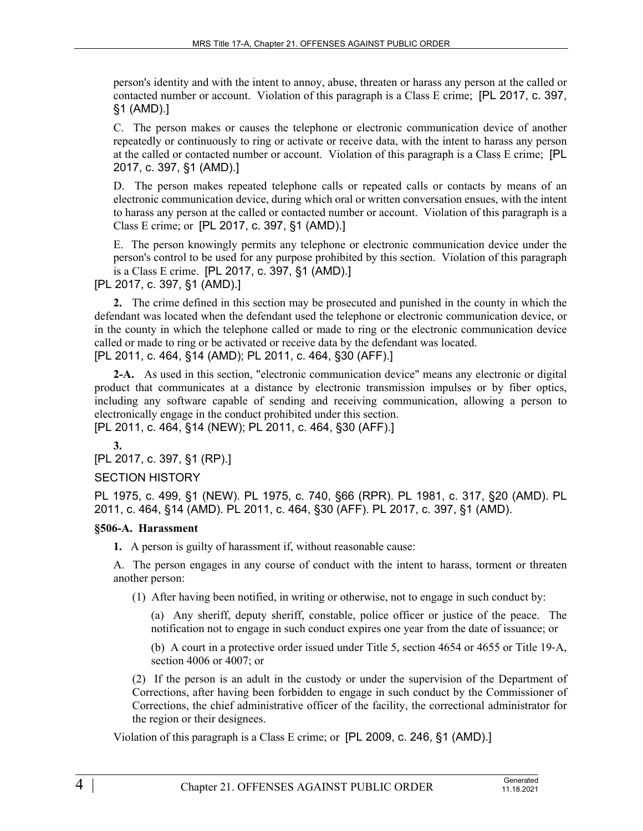person's identity and with the intent to annoy, abuse, threaten or harass any person at the called or contacted number or account. Violation of this paragraph is a Class E crime; [PL 2017, c. 397, §1 (AMD).]

C. The person makes or causes the telephone or electronic communication device of another repeatedly or continuously to ring or activate or receive data, with the intent to harass any person at the called or contacted number or account. Violation of this paragraph is a Class E crime; [PL 2017, c. 397, §1 (AMD).]

D. The person makes repeated telephone calls or repeated calls or contacts by means of an electronic communication device, during which oral or written conversation ensues, with the intent to harass any person at the called or contacted number or account. Violation of this paragraph is a Class E crime; or [PL 2017, c. 397, §1 (AMD).]

E. The person knowingly permits any telephone or electronic communication device under the person's control to be used for any purpose prohibited by this section. Violation of this paragraph is a Class E crime. [PL 2017, c. 397, §1 (AMD).]

[PL 2017, c. 397, §1 (AMD).]

**2.** The crime defined in this section may be prosecuted and punished in the county in which the defendant was located when the defendant used the telephone or electronic communication device, or in the county in which the telephone called or made to ring or the electronic communication device called or made to ring or be activated or receive data by the defendant was located. [PL 2011, c. 464, §14 (AMD); PL 2011, c. 464, §30 (AFF).]

**2-A.** As used in this section, "electronic communication device" means any electronic or digital product that communicates at a distance by electronic transmission impulses or by fiber optics, including any software capable of sending and receiving communication, allowing a person to electronically engage in the conduct prohibited under this section. [PL 2011, c. 464, §14 (NEW); PL 2011, c. 464, §30 (AFF).]

**3.** 

[PL 2017, c. 397, §1 (RP).]

## SECTION HISTORY

PL 1975, c. 499, §1 (NEW). PL 1975, c. 740, §66 (RPR). PL 1981, c. 317, §20 (AMD). PL 2011, c. 464, §14 (AMD). PL 2011, c. 464, §30 (AFF). PL 2017, c. 397, §1 (AMD).

#### **§506-A. Harassment**

**1.** A person is guilty of harassment if, without reasonable cause:

A. The person engages in any course of conduct with the intent to harass, torment or threaten another person:

(1) After having been notified, in writing or otherwise, not to engage in such conduct by:

(a) Any sheriff, deputy sheriff, constable, police officer or justice of the peace. The notification not to engage in such conduct expires one year from the date of issuance; or

(b) A court in a protective order issued under Title 5, section 4654 or 4655 or Title 19‑A, section 4006 or 4007; or

(2) If the person is an adult in the custody or under the supervision of the Department of Corrections, after having been forbidden to engage in such conduct by the Commissioner of Corrections, the chief administrative officer of the facility, the correctional administrator for the region or their designees.

Violation of this paragraph is a Class E crime; or [PL 2009, c. 246, §1 (AMD).]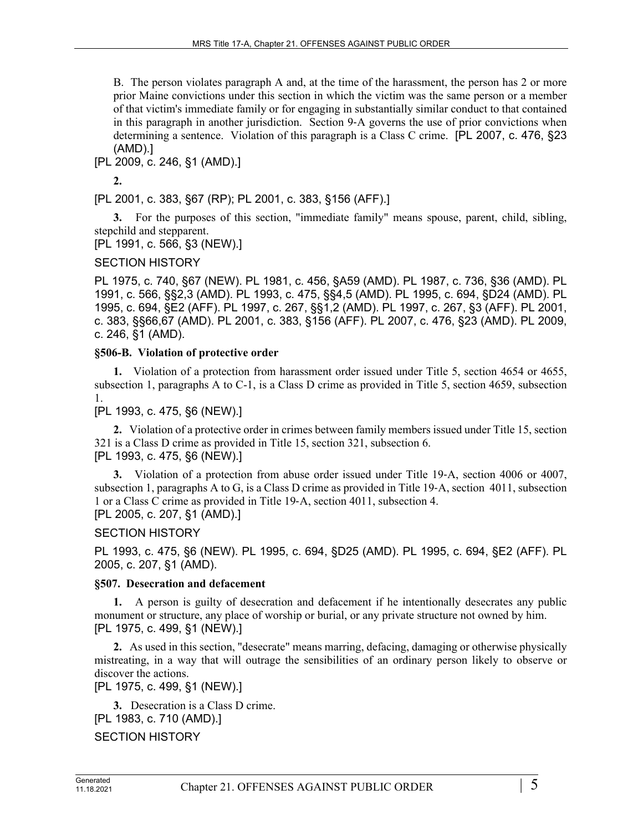B. The person violates paragraph A and, at the time of the harassment, the person has 2 or more prior Maine convictions under this section in which the victim was the same person or a member of that victim's immediate family or for engaging in substantially similar conduct to that contained in this paragraph in another jurisdiction. Section 9‑A governs the use of prior convictions when determining a sentence. Violation of this paragraph is a Class C crime. [PL 2007, c. 476, §23 (AMD).]

[PL 2009, c. 246, §1 (AMD).]

**2.** 

[PL 2001, c. 383, §67 (RP); PL 2001, c. 383, §156 (AFF).]

**3.** For the purposes of this section, "immediate family" means spouse, parent, child, sibling, stepchild and stepparent.

[PL 1991, c. 566, §3 (NEW).]

# SECTION HISTORY

PL 1975, c. 740, §67 (NEW). PL 1981, c. 456, §A59 (AMD). PL 1987, c. 736, §36 (AMD). PL 1991, c. 566, §§2,3 (AMD). PL 1993, c. 475, §§4,5 (AMD). PL 1995, c. 694, §D24 (AMD). PL 1995, c. 694, §E2 (AFF). PL 1997, c. 267, §§1,2 (AMD). PL 1997, c. 267, §3 (AFF). PL 2001, c. 383, §§66,67 (AMD). PL 2001, c. 383, §156 (AFF). PL 2007, c. 476, §23 (AMD). PL 2009, c. 246, §1 (AMD).

# **§506-B. Violation of protective order**

**1.** Violation of a protection from harassment order issued under Title 5, section 4654 or 4655, subsection 1, paragraphs A to C-1, is a Class D crime as provided in Title 5, section 4659, subsection 1.

[PL 1993, c. 475, §6 (NEW).]

**2.** Violation of a protective order in crimes between family members issued under Title 15, section 321 is a Class D crime as provided in Title 15, section 321, subsection 6. [PL 1993, c. 475, §6 (NEW).]

**3.** Violation of a protection from abuse order issued under Title 19–A, section 4006 or 4007, subsection 1, paragraphs A to G, is a Class D crime as provided in Title 19-A, section 4011, subsection 1 or a Class C crime as provided in Title 19‑A, section 4011, subsection 4. [PL 2005, c. 207, §1 (AMD).]

SECTION HISTORY

PL 1993, c. 475, §6 (NEW). PL 1995, c. 694, §D25 (AMD). PL 1995, c. 694, §E2 (AFF). PL 2005, c. 207, §1 (AMD).

# **§507. Desecration and defacement**

**1.** A person is guilty of desecration and defacement if he intentionally desecrates any public monument or structure, any place of worship or burial, or any private structure not owned by him. [PL 1975, c. 499, §1 (NEW).]

**2.** As used in this section, "desecrate" means marring, defacing, damaging or otherwise physically mistreating, in a way that will outrage the sensibilities of an ordinary person likely to observe or discover the actions.

[PL 1975, c. 499, §1 (NEW).]

**3.** Desecration is a Class D crime. [PL 1983, c. 710 (AMD).]

SECTION HISTORY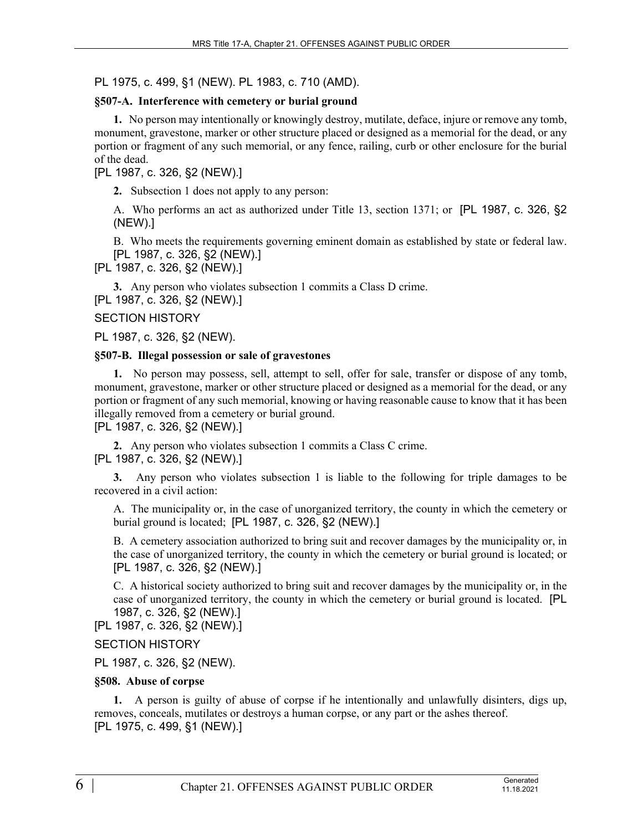PL 1975, c. 499, §1 (NEW). PL 1983, c. 710 (AMD).

## **§507-A. Interference with cemetery or burial ground**

**1.** No person may intentionally or knowingly destroy, mutilate, deface, injure or remove any tomb, monument, gravestone, marker or other structure placed or designed as a memorial for the dead, or any portion or fragment of any such memorial, or any fence, railing, curb or other enclosure for the burial of the dead.

## [PL 1987, c. 326, §2 (NEW).]

**2.** Subsection 1 does not apply to any person:

A. Who performs an act as authorized under Title 13, section 1371; or [PL 1987, c. 326, §2 (NEW).]

B. Who meets the requirements governing eminent domain as established by state or federal law. [PL 1987, c. 326, §2 (NEW).]

[PL 1987, c. 326, §2 (NEW).]

**3.** Any person who violates subsection 1 commits a Class D crime.

[PL 1987, c. 326, §2 (NEW).]

### SECTION HISTORY

PL 1987, c. 326, §2 (NEW).

#### **§507-B. Illegal possession or sale of gravestones**

**1.** No person may possess, sell, attempt to sell, offer for sale, transfer or dispose of any tomb, monument, gravestone, marker or other structure placed or designed as a memorial for the dead, or any portion or fragment of any such memorial, knowing or having reasonable cause to know that it has been illegally removed from a cemetery or burial ground.

# [PL 1987, c. 326, §2 (NEW).]

**2.** Any person who violates subsection 1 commits a Class C crime. [PL 1987, c. 326, §2 (NEW).]

**3.** Any person who violates subsection 1 is liable to the following for triple damages to be recovered in a civil action:

A. The municipality or, in the case of unorganized territory, the county in which the cemetery or burial ground is located; [PL 1987, c. 326, §2 (NEW).]

B. A cemetery association authorized to bring suit and recover damages by the municipality or, in the case of unorganized territory, the county in which the cemetery or burial ground is located; or [PL 1987, c. 326, §2 (NEW).]

C. A historical society authorized to bring suit and recover damages by the municipality or, in the case of unorganized territory, the county in which the cemetery or burial ground is located. [PL 1987, c. 326, §2 (NEW).]

[PL 1987, c. 326, §2 (NEW).]

## SECTION HISTORY

PL 1987, c. 326, §2 (NEW).

#### **§508. Abuse of corpse**

**1.** A person is guilty of abuse of corpse if he intentionally and unlawfully disinters, digs up, removes, conceals, mutilates or destroys a human corpse, or any part or the ashes thereof. [PL 1975, c. 499, §1 (NEW).]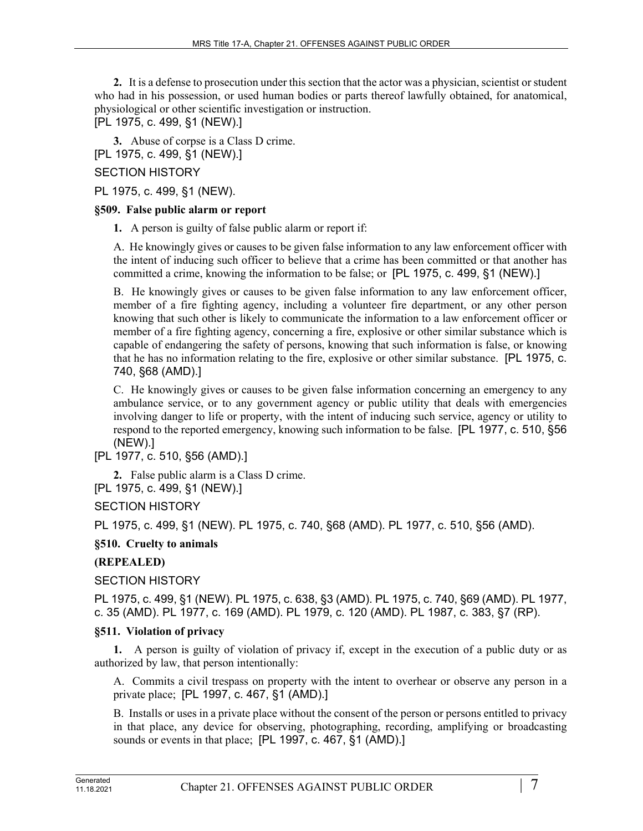**2.** It is a defense to prosecution under this section that the actor was a physician, scientist or student who had in his possession, or used human bodies or parts thereof lawfully obtained, for anatomical, physiological or other scientific investigation or instruction.

[PL 1975, c. 499, §1 (NEW).]

**3.** Abuse of corpse is a Class D crime.

[PL 1975, c. 499, §1 (NEW).]

## SECTION HISTORY

PL 1975, c. 499, §1 (NEW).

#### **§509. False public alarm or report**

**1.** A person is guilty of false public alarm or report if:

A. He knowingly gives or causes to be given false information to any law enforcement officer with the intent of inducing such officer to believe that a crime has been committed or that another has committed a crime, knowing the information to be false; or [PL 1975, c. 499, §1 (NEW).]

B. He knowingly gives or causes to be given false information to any law enforcement officer, member of a fire fighting agency, including a volunteer fire department, or any other person knowing that such other is likely to communicate the information to a law enforcement officer or member of a fire fighting agency, concerning a fire, explosive or other similar substance which is capable of endangering the safety of persons, knowing that such information is false, or knowing that he has no information relating to the fire, explosive or other similar substance. [PL 1975, c. 740, §68 (AMD).]

C. He knowingly gives or causes to be given false information concerning an emergency to any ambulance service, or to any government agency or public utility that deals with emergencies involving danger to life or property, with the intent of inducing such service, agency or utility to respond to the reported emergency, knowing such information to be false. [PL 1977, c. 510, §56 (NEW).]

[PL 1977, c. 510, §56 (AMD).]

**2.** False public alarm is a Class D crime.

[PL 1975, c. 499, §1 (NEW).]

SECTION HISTORY

PL 1975, c. 499, §1 (NEW). PL 1975, c. 740, §68 (AMD). PL 1977, c. 510, §56 (AMD).

**§510. Cruelty to animals**

## **(REPEALED)**

SECTION HISTORY

PL 1975, c. 499, §1 (NEW). PL 1975, c. 638, §3 (AMD). PL 1975, c. 740, §69 (AMD). PL 1977, c. 35 (AMD). PL 1977, c. 169 (AMD). PL 1979, c. 120 (AMD). PL 1987, c. 383, §7 (RP).

## **§511. Violation of privacy**

**1.** A person is guilty of violation of privacy if, except in the execution of a public duty or as authorized by law, that person intentionally:

A. Commits a civil trespass on property with the intent to overhear or observe any person in a private place; [PL 1997, c. 467, §1 (AMD).]

B. Installs or uses in a private place without the consent of the person or persons entitled to privacy in that place, any device for observing, photographing, recording, amplifying or broadcasting sounds or events in that place; [PL 1997, c. 467, §1 (AMD).]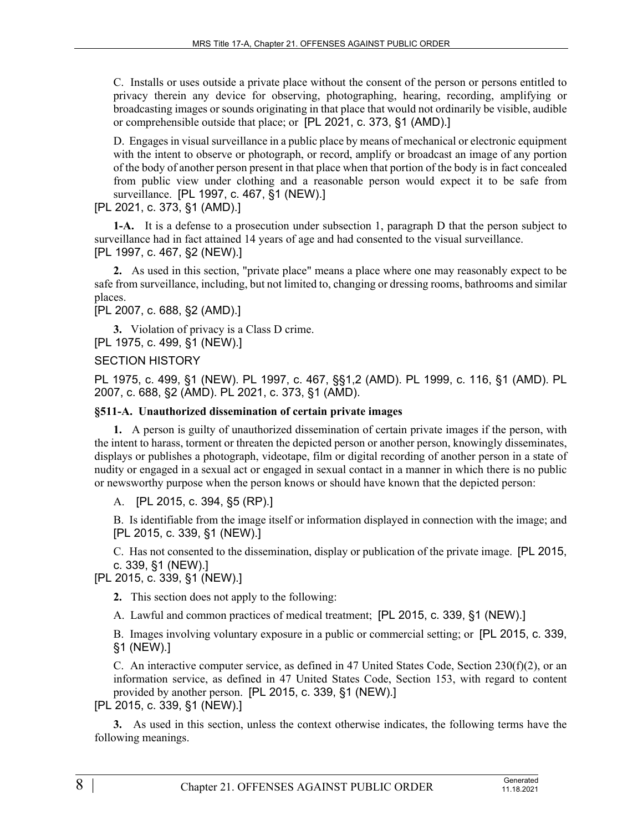C. Installs or uses outside a private place without the consent of the person or persons entitled to privacy therein any device for observing, photographing, hearing, recording, amplifying or broadcasting images or sounds originating in that place that would not ordinarily be visible, audible or comprehensible outside that place; or [PL 2021, c. 373, §1 (AMD).]

D. Engages in visual surveillance in a public place by means of mechanical or electronic equipment with the intent to observe or photograph, or record, amplify or broadcast an image of any portion of the body of another person present in that place when that portion of the body is in fact concealed from public view under clothing and a reasonable person would expect it to be safe from surveillance. [PL 1997, c. 467, §1 (NEW).]

## [PL 2021, c. 373, §1 (AMD).]

**1-A.** It is a defense to a prosecution under subsection 1, paragraph D that the person subject to surveillance had in fact attained 14 years of age and had consented to the visual surveillance. [PL 1997, c. 467, §2 (NEW).]

**2.** As used in this section, "private place" means a place where one may reasonably expect to be safe from surveillance, including, but not limited to, changing or dressing rooms, bathrooms and similar places.

## [PL 2007, c. 688, §2 (AMD).]

**3.** Violation of privacy is a Class D crime. [PL 1975, c. 499, §1 (NEW).]

#### SECTION HISTORY

PL 1975, c. 499, §1 (NEW). PL 1997, c. 467, §§1,2 (AMD). PL 1999, c. 116, §1 (AMD). PL 2007, c. 688, §2 (AMD). PL 2021, c. 373, §1 (AMD).

#### **§511-A. Unauthorized dissemination of certain private images**

**1.** A person is guilty of unauthorized dissemination of certain private images if the person, with the intent to harass, torment or threaten the depicted person or another person, knowingly disseminates, displays or publishes a photograph, videotape, film or digital recording of another person in a state of nudity or engaged in a sexual act or engaged in sexual contact in a manner in which there is no public or newsworthy purpose when the person knows or should have known that the depicted person:

A. [PL 2015, c. 394, §5 (RP).]

B. Is identifiable from the image itself or information displayed in connection with the image; and [PL 2015, c. 339, §1 (NEW).]

C. Has not consented to the dissemination, display or publication of the private image. [PL 2015, c. 339, §1 (NEW).]

[PL 2015, c. 339, §1 (NEW).]

**2.** This section does not apply to the following:

A. Lawful and common practices of medical treatment; [PL 2015, c. 339, §1 (NEW).]

B. Images involving voluntary exposure in a public or commercial setting; or [PL 2015, c. 339, §1 (NEW).]

C. An interactive computer service, as defined in 47 United States Code, Section  $230(f)(2)$ , or an information service, as defined in 47 United States Code, Section 153, with regard to content provided by another person. [PL 2015, c. 339, §1 (NEW).]

[PL 2015, c. 339, §1 (NEW).]

**3.** As used in this section, unless the context otherwise indicates, the following terms have the following meanings.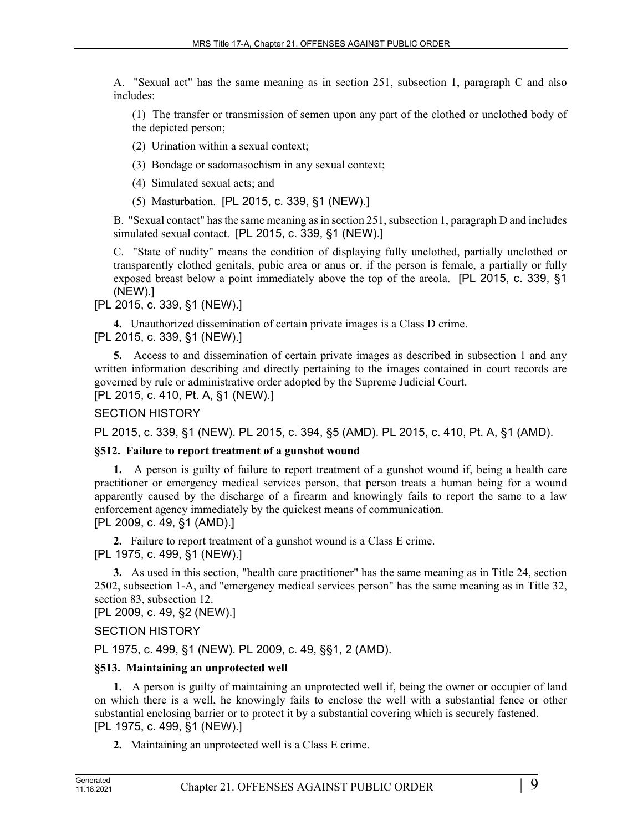A. "Sexual act" has the same meaning as in section 251, subsection 1, paragraph C and also includes:

(1) The transfer or transmission of semen upon any part of the clothed or unclothed body of the depicted person;

(2) Urination within a sexual context;

(3) Bondage or sadomasochism in any sexual context;

(4) Simulated sexual acts; and

(5) Masturbation. [PL 2015, c. 339, §1 (NEW).]

B. "Sexual contact" has the same meaning as in section 251, subsection 1, paragraph D and includes simulated sexual contact. [PL 2015, c. 339, §1 (NEW).]

C. "State of nudity" means the condition of displaying fully unclothed, partially unclothed or transparently clothed genitals, pubic area or anus or, if the person is female, a partially or fully exposed breast below a point immediately above the top of the areola. [PL 2015, c. 339, §1 (NEW).]

[PL 2015, c. 339, §1 (NEW).]

**4.** Unauthorized dissemination of certain private images is a Class D crime. [PL 2015, c. 339, §1 (NEW).]

**5.** Access to and dissemination of certain private images as described in subsection 1 and any written information describing and directly pertaining to the images contained in court records are governed by rule or administrative order adopted by the Supreme Judicial Court.

[PL 2015, c. 410, Pt. A, §1 (NEW).]

SECTION HISTORY

PL 2015, c. 339, §1 (NEW). PL 2015, c. 394, §5 (AMD). PL 2015, c. 410, Pt. A, §1 (AMD).

## **§512. Failure to report treatment of a gunshot wound**

**1.** A person is guilty of failure to report treatment of a gunshot wound if, being a health care practitioner or emergency medical services person, that person treats a human being for a wound apparently caused by the discharge of a firearm and knowingly fails to report the same to a law enforcement agency immediately by the quickest means of communication. [PL 2009, c. 49, §1 (AMD).]

**2.** Failure to report treatment of a gunshot wound is a Class E crime. [PL 1975, c. 499, §1 (NEW).]

**3.** As used in this section, "health care practitioner" has the same meaning as in Title 24, section 2502, subsection 1-A, and "emergency medical services person" has the same meaning as in Title 32, section 83, subsection 12.

[PL 2009, c. 49, §2 (NEW).]

SECTION HISTORY

PL 1975, c. 499, §1 (NEW). PL 2009, c. 49, §§1, 2 (AMD).

#### **§513. Maintaining an unprotected well**

**1.** A person is guilty of maintaining an unprotected well if, being the owner or occupier of land on which there is a well, he knowingly fails to enclose the well with a substantial fence or other substantial enclosing barrier or to protect it by a substantial covering which is securely fastened. [PL 1975, c. 499, §1 (NEW).]

**2.** Maintaining an unprotected well is a Class E crime.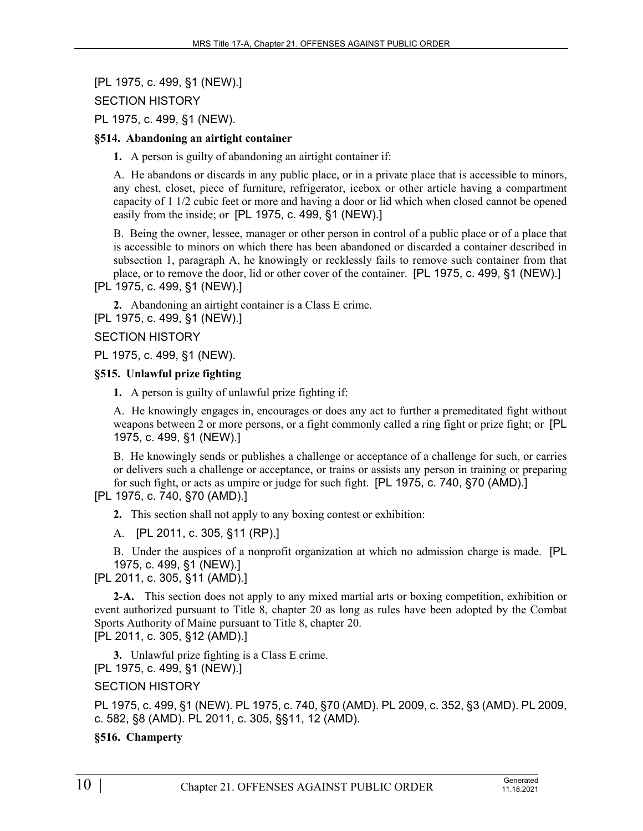## [PL 1975, c. 499, §1 (NEW).]

SECTION HISTORY

PL 1975, c. 499, §1 (NEW).

## **§514. Abandoning an airtight container**

**1.** A person is guilty of abandoning an airtight container if:

A. He abandons or discards in any public place, or in a private place that is accessible to minors, any chest, closet, piece of furniture, refrigerator, icebox or other article having a compartment capacity of 1 1/2 cubic feet or more and having a door or lid which when closed cannot be opened easily from the inside; or [PL 1975, c. 499, §1 (NEW).]

B. Being the owner, lessee, manager or other person in control of a public place or of a place that is accessible to minors on which there has been abandoned or discarded a container described in subsection 1, paragraph A, he knowingly or recklessly fails to remove such container from that place, or to remove the door, lid or other cover of the container. [PL 1975, c. 499, §1 (NEW).] [PL 1975, c. 499, §1 (NEW).]

**2.** Abandoning an airtight container is a Class E crime. [PL 1975, c. 499, §1 (NEW).]

## SECTION HISTORY

PL 1975, c. 499, §1 (NEW).

## **§515. Unlawful prize fighting**

**1.** A person is guilty of unlawful prize fighting if:

A. He knowingly engages in, encourages or does any act to further a premeditated fight without weapons between 2 or more persons, or a fight commonly called a ring fight or prize fight; or [PL 1975, c. 499, §1 (NEW).]

B. He knowingly sends or publishes a challenge or acceptance of a challenge for such, or carries or delivers such a challenge or acceptance, or trains or assists any person in training or preparing for such fight, or acts as umpire or judge for such fight. [PL 1975, c. 740, §70 (AMD).]

[PL 1975, c. 740, §70 (AMD).]

**2.** This section shall not apply to any boxing contest or exhibition:

A. [PL 2011, c. 305, §11 (RP).]

B. Under the auspices of a nonprofit organization at which no admission charge is made. [PL 1975, c. 499, §1 (NEW).]

[PL 2011, c. 305, §11 (AMD).]

**2-A.** This section does not apply to any mixed martial arts or boxing competition, exhibition or event authorized pursuant to Title 8, chapter 20 as long as rules have been adopted by the Combat Sports Authority of Maine pursuant to Title 8, chapter 20.

[PL 2011, c. 305, §12 (AMD).]

**3.** Unlawful prize fighting is a Class E crime. [PL 1975, c. 499, §1 (NEW).]

## SECTION HISTORY

PL 1975, c. 499, §1 (NEW). PL 1975, c. 740, §70 (AMD). PL 2009, c. 352, §3 (AMD). PL 2009, c. 582, §8 (AMD). PL 2011, c. 305, §§11, 12 (AMD).

#### **§516. Champerty**